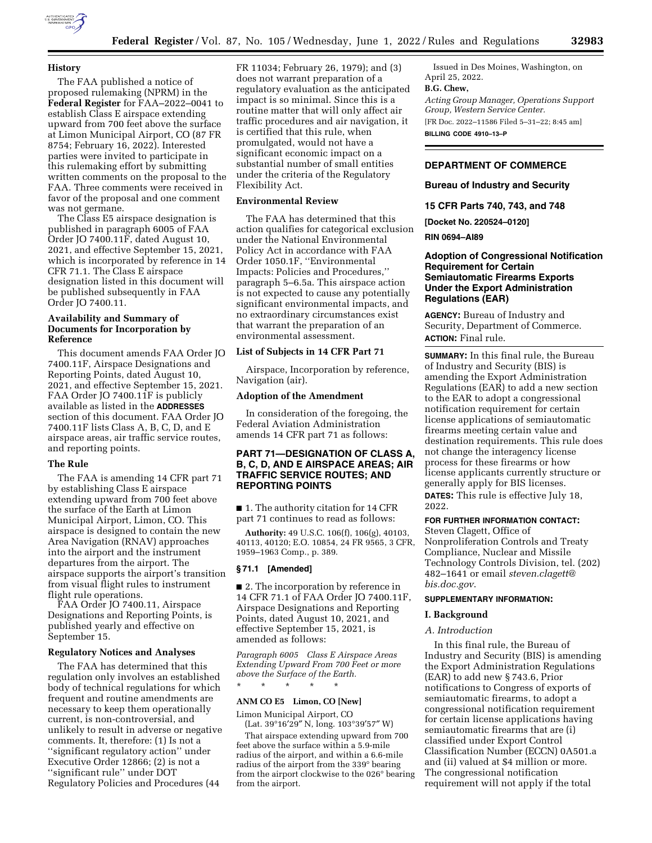

### **History**

The FAA published a notice of proposed rulemaking (NPRM) in the **Federal Register** for FAA–2022–0041 to establish Class E airspace extending upward from 700 feet above the surface at Limon Municipal Airport, CO (87 FR 8754; February 16, 2022). Interested parties were invited to participate in this rulemaking effort by submitting written comments on the proposal to the FAA. Three comments were received in favor of the proposal and one comment was not germane.

The Class E5 airspace designation is published in paragraph 6005 of FAA Order JO 7400.11F, dated August 10, 2021, and effective September 15, 2021, which is incorporated by reference in 14 CFR 71.1. The Class E airspace designation listed in this document will be published subsequently in FAA Order JO 7400.11.

### **Availability and Summary of Documents for Incorporation by Reference**

This document amends FAA Order JO 7400.11F, Airspace Designations and Reporting Points, dated August 10, 2021, and effective September 15, 2021. FAA Order JO 7400.11F is publicly available as listed in the **ADDRESSES** section of this document. FAA Order JO 7400.11F lists Class A, B, C, D, and E airspace areas, air traffic service routes, and reporting points.

#### **The Rule**

The FAA is amending 14 CFR part 71 by establishing Class E airspace extending upward from 700 feet above the surface of the Earth at Limon Municipal Airport, Limon, CO. This airspace is designed to contain the new Area Navigation (RNAV) approaches into the airport and the instrument departures from the airport. The airspace supports the airport's transition from visual flight rules to instrument flight rule operations.

FAA Order JO 7400.11, Airspace Designations and Reporting Points, is published yearly and effective on September 15.

#### **Regulatory Notices and Analyses**

The FAA has determined that this regulation only involves an established body of technical regulations for which frequent and routine amendments are necessary to keep them operationally current, is non-controversial, and unlikely to result in adverse or negative comments. It, therefore: (1) Is not a ''significant regulatory action'' under Executive Order 12866; (2) is not a ''significant rule'' under DOT Regulatory Policies and Procedures (44

FR 11034; February 26, 1979); and (3) does not warrant preparation of a regulatory evaluation as the anticipated impact is so minimal. Since this is a routine matter that will only affect air traffic procedures and air navigation, it is certified that this rule, when promulgated, would not have a significant economic impact on a substantial number of small entities under the criteria of the Regulatory Flexibility Act.

#### **Environmental Review**

The FAA has determined that this action qualifies for categorical exclusion under the National Environmental Policy Act in accordance with FAA Order 1050.1F, ''Environmental Impacts: Policies and Procedures,'' paragraph 5–6.5a. This airspace action is not expected to cause any potentially significant environmental impacts, and no extraordinary circumstances exist that warrant the preparation of an environmental assessment.

## **List of Subjects in 14 CFR Part 71**

Airspace, Incorporation by reference, Navigation (air).

### **Adoption of the Amendment**

In consideration of the foregoing, the Federal Aviation Administration amends 14 CFR part 71 as follows:

## **PART 71—DESIGNATION OF CLASS A, B, C, D, AND E AIRSPACE AREAS; AIR TRAFFIC SERVICE ROUTES; AND REPORTING POINTS**

■ 1. The authority citation for 14 CFR part 71 continues to read as follows:

**Authority:** 49 U.S.C. 106(f), 106(g), 40103, 40113, 40120; E.O. 10854, 24 FR 9565, 3 CFR, 1959–1963 Comp., p. 389.

#### **§ 71.1 [Amended]**

■ 2. The incorporation by reference in 14 CFR 71.1 of FAA Order JO 7400.11F, Airspace Designations and Reporting Points, dated August 10, 2021, and effective September 15, 2021, is amended as follows:

*Paragraph 6005 Class E Airspace Areas Extending Upward From 700 Feet or more above the Surface of the Earth.*  \* \* \* \* \*

## **ANM CO E5 Limon, CO [New]**

Limon Municipal Airport, CO (Lat. 39°16′29″ N, long. 103°39′57″ W)

That airspace extending upward from 700 feet above the surface within a 5.9-mile radius of the airport, and within a 6.6-mile radius of the airport from the 339° bearing from the airport clockwise to the 026° bearing from the airport.

Issued in Des Moines, Washington, on April 25, 2022.

#### **B.G. Chew,**

*Acting Group Manager, Operations Support Group, Western Service Center.*  [FR Doc. 2022–11586 Filed 5–31–22; 8:45 am]

**BILLING CODE 4910–13–P** 

## **DEPARTMENT OF COMMERCE**

**Bureau of Industry and Security** 

**15 CFR Parts 740, 743, and 748** 

**[Docket No. 220524–0120]** 

**RIN 0694–AI89** 

## **Adoption of Congressional Notification Requirement for Certain Semiautomatic Firearms Exports Under the Export Administration Regulations (EAR)**

**AGENCY:** Bureau of Industry and Security, Department of Commerce. **ACTION:** Final rule.

**SUMMARY:** In this final rule, the Bureau of Industry and Security (BIS) is amending the Export Administration Regulations (EAR) to add a new section to the EAR to adopt a congressional notification requirement for certain license applications of semiautomatic firearms meeting certain value and destination requirements. This rule does not change the interagency license process for these firearms or how license applicants currently structure or generally apply for BIS licenses. **DATES:** This rule is effective July 18, 2022.

#### **FOR FURTHER INFORMATION CONTACT:**

Steven Clagett, Office of Nonproliferation Controls and Treaty Compliance, Nuclear and Missile Technology Controls Division, tel. (202) 482–1641 or email *[steven.clagett@](mailto:steven.clagett@bis.doc.gov) [bis.doc.gov](mailto:steven.clagett@bis.doc.gov)*.

#### **SUPPLEMENTARY INFORMATION:**

### **I. Background**

#### *A. Introduction*

In this final rule, the Bureau of Industry and Security (BIS) is amending the Export Administration Regulations (EAR) to add new § 743.6, Prior notifications to Congress of exports of semiautomatic firearms, to adopt a congressional notification requirement for certain license applications having semiautomatic firearms that are (i) classified under Export Control Classification Number (ECCN) 0A501.a and (ii) valued at \$4 million or more. The congressional notification requirement will not apply if the total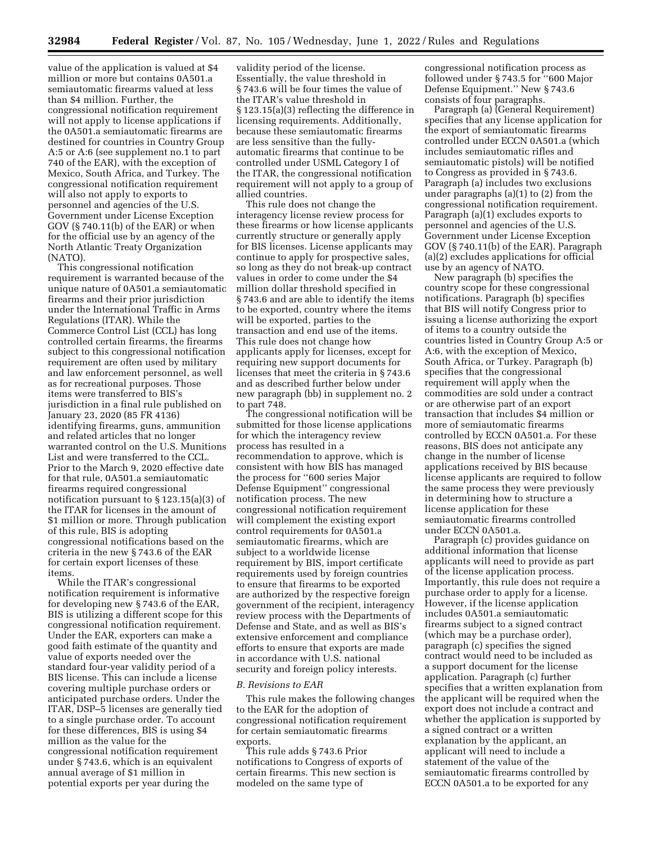value of the application is valued at \$4 million or more but contains 0A501.a semiautomatic firearms valued at less than \$4 million. Further, the congressional notification requirement will not apply to license applications if the 0A501.a semiautomatic firearms are destined for countries in Country Group A:5 or A:6 (see supplement no.1 to part 740 of the EAR), with the exception of Mexico, South Africa, and Turkey. The congressional notification requirement will also not apply to exports to personnel and agencies of the U.S. Government under License Exception GOV (§ 740.11(b) of the EAR) or when for the official use by an agency of the North Atlantic Treaty Organization (NATO).

This congressional notification requirement is warranted because of the unique nature of 0A501.a semiautomatic firearms and their prior jurisdiction under the International Traffic in Arms Regulations (ITAR). While the Commerce Control List (CCL) has long controlled certain firearms, the firearms subject to this congressional notification requirement are often used by military and law enforcement personnel, as well as for recreational purposes. Those items were transferred to BIS's jurisdiction in a final rule published on January 23, 2020 (85 FR 4136) identifying firearms, guns, ammunition and related articles that no longer warranted control on the U.S. Munitions List and were transferred to the CCL. Prior to the March 9, 2020 effective date for that rule, 0A501.a semiautomatic firearms required congressional notification pursuant to § 123.15(a)(3) of the ITAR for licenses in the amount of \$1 million or more. Through publication of this rule, BIS is adopting congressional notifications based on the criteria in the new § 743.6 of the EAR for certain export licenses of these items.

While the ITAR's congressional notification requirement is informative for developing new § 743.6 of the EAR, BIS is utilizing a different scope for this congressional notification requirement. Under the EAR, exporters can make a good faith estimate of the quantity and value of exports needed over the standard four-year validity period of a BIS license. This can include a license covering multiple purchase orders or anticipated purchase orders. Under the ITAR, DSP–5 licenses are generally tied to a single purchase order. To account for these differences, BIS is using \$4 million as the value for the congressional notification requirement under § 743.6, which is an equivalent annual average of \$1 million in potential exports per year during the

validity period of the license. Essentially, the value threshold in § 743.6 will be four times the value of the ITAR's value threshold in § 123.15(a)(3) reflecting the difference in licensing requirements. Additionally, because these semiautomatic firearms are less sensitive than the fullyautomatic firearms that continue to be controlled under USML Category I of the ITAR, the congressional notification requirement will not apply to a group of allied countries.

This rule does not change the interagency license review process for these firearms or how license applicants currently structure or generally apply for BIS licenses. License applicants may continue to apply for prospective sales, so long as they do not break-up contract values in order to come under the \$4 million dollar threshold specified in § 743.6 and are able to identify the items to be exported, country where the items will be exported, parties to the transaction and end use of the items. This rule does not change how applicants apply for licenses, except for requiring new support documents for licenses that meet the criteria in § 743.6 and as described further below under new paragraph (bb) in supplement no. 2 to part 748.

The congressional notification will be submitted for those license applications for which the interagency review process has resulted in a recommendation to approve, which is consistent with how BIS has managed the process for ''600 series Major Defense Equipment'' congressional notification process. The new congressional notification requirement will complement the existing export control requirements for 0A501.a semiautomatic firearms, which are subject to a worldwide license requirement by BIS, import certificate requirements used by foreign countries to ensure that firearms to be exported are authorized by the respective foreign government of the recipient, interagency review process with the Departments of Defense and State, and as well as BIS's extensive enforcement and compliance efforts to ensure that exports are made in accordance with U.S. national security and foreign policy interests.

#### *B. Revisions to EAR*

This rule makes the following changes to the EAR for the adoption of congressional notification requirement for certain semiautomatic firearms exports.

This rule adds § 743.6 Prior notifications to Congress of exports of certain firearms. This new section is modeled on the same type of

congressional notification process as followed under § 743.5 for ''600 Major Defense Equipment.'' New § 743.6 consists of four paragraphs.

Paragraph (a) (General Requirement) specifies that any license application for the export of semiautomatic firearms controlled under ECCN 0A501.a (which includes semiautomatic rifles and semiautomatic pistols) will be notified to Congress as provided in § 743.6. Paragraph (a) includes two exclusions under paragraphs (a)(1) to (2) from the congressional notification requirement. Paragraph (a)(1) excludes exports to personnel and agencies of the U.S. Government under License Exception GOV (§ 740.11(b) of the EAR). Paragraph (a)(2) excludes applications for official use by an agency of NATO.

New paragraph (b) specifies the country scope for these congressional notifications. Paragraph (b) specifies that BIS will notify Congress prior to issuing a license authorizing the export of items to a country outside the countries listed in Country Group A:5 or A:6, with the exception of Mexico, South Africa, or Turkey. Paragraph (b) specifies that the congressional requirement will apply when the commodities are sold under a contract or are otherwise part of an export transaction that includes \$4 million or more of semiautomatic firearms controlled by ECCN 0A501.a. For these reasons, BIS does not anticipate any change in the number of license applications received by BIS because license applicants are required to follow the same process they were previously in determining how to structure a license application for these semiautomatic firearms controlled under ECCN 0A501.a.

Paragraph (c) provides guidance on additional information that license applicants will need to provide as part of the license application process. Importantly, this rule does not require a purchase order to apply for a license. However, if the license application includes 0A501.a semiautomatic firearms subject to a signed contract (which may be a purchase order), paragraph (c) specifies the signed contract would need to be included as a support document for the license application. Paragraph (c) further specifies that a written explanation from the applicant will be required when the export does not include a contract and whether the application is supported by a signed contract or a written explanation by the applicant, an applicant will need to include a statement of the value of the semiautomatic firearms controlled by ECCN 0A501.a to be exported for any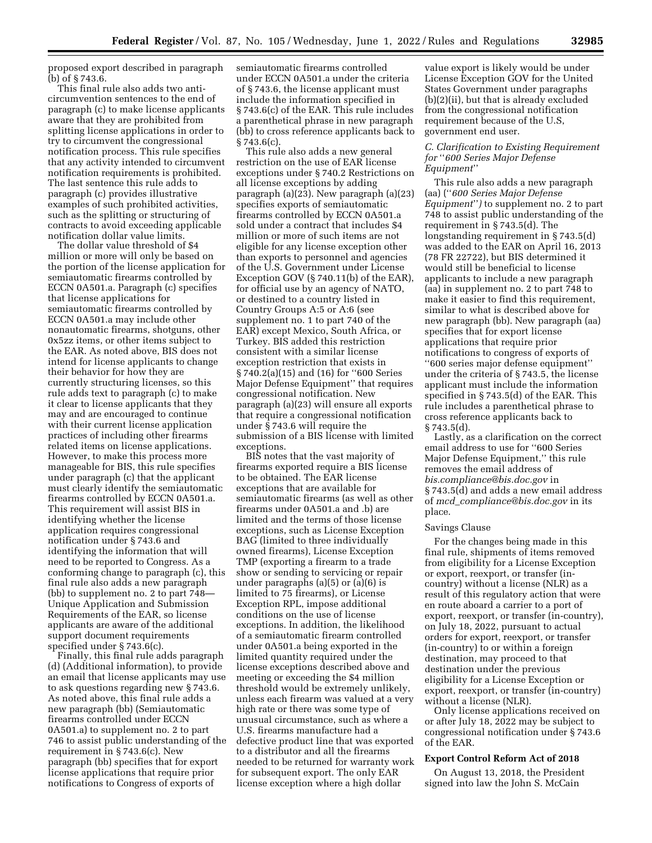proposed export described in paragraph (b) of § 743.6.

This final rule also adds two anticircumvention sentences to the end of paragraph (c) to make license applicants aware that they are prohibited from splitting license applications in order to try to circumvent the congressional notification process. This rule specifies that any activity intended to circumvent notification requirements is prohibited. The last sentence this rule adds to paragraph (c) provides illustrative examples of such prohibited activities, such as the splitting or structuring of contracts to avoid exceeding applicable notification dollar value limits.

The dollar value threshold of \$4 million or more will only be based on the portion of the license application for semiautomatic firearms controlled by ECCN 0A501.a. Paragraph (c) specifies that license applications for semiautomatic firearms controlled by ECCN 0A501.a may include other nonautomatic firearms, shotguns, other 0x5zz items, or other items subject to the EAR. As noted above, BIS does not intend for license applicants to change their behavior for how they are currently structuring licenses, so this rule adds text to paragraph (c) to make it clear to license applicants that they may and are encouraged to continue with their current license application practices of including other firearms related items on license applications. However, to make this process more manageable for BIS, this rule specifies under paragraph (c) that the applicant must clearly identify the semiautomatic firearms controlled by ECCN 0A501.a. This requirement will assist BIS in identifying whether the license application requires congressional notification under § 743.6 and identifying the information that will need to be reported to Congress. As a conforming change to paragraph (c), this final rule also adds a new paragraph (bb) to supplement no. 2 to part 748— Unique Application and Submission Requirements of the EAR, so license applicants are aware of the additional support document requirements specified under § 743.6(c).

Finally, this final rule adds paragraph (d) (Additional information), to provide an email that license applicants may use to ask questions regarding new § 743.6. As noted above, this final rule adds a new paragraph (bb) (Semiautomatic firearms controlled under ECCN 0A501.a) to supplement no. 2 to part 746 to assist public understanding of the requirement in § 743.6(c). New paragraph (bb) specifies that for export license applications that require prior notifications to Congress of exports of

semiautomatic firearms controlled under ECCN 0A501.a under the criteria of § 743.6, the license applicant must include the information specified in § 743.6(c) of the EAR. This rule includes a parenthetical phrase in new paragraph (bb) to cross reference applicants back to § 743.6(c).

This rule also adds a new general restriction on the use of EAR license exceptions under § 740.2 Restrictions on all license exceptions by adding paragraph (a)(23). New paragraph (a)(23) specifies exports of semiautomatic firearms controlled by ECCN 0A501.a sold under a contract that includes \$4 million or more of such items are not eligible for any license exception other than exports to personnel and agencies of the U.S. Government under License Exception GOV (§ 740.11(b) of the EAR), for official use by an agency of NATO, or destined to a country listed in Country Groups A:5 or A:6 (see supplement no. 1 to part 740 of the EAR) except Mexico, South Africa, or Turkey. BIS added this restriction consistent with a similar license exception restriction that exists in § 740.2(a)(15) and (16) for ''600 Series Major Defense Equipment'' that requires congressional notification. New paragraph (a)(23) will ensure all exports that require a congressional notification under § 743.6 will require the submission of a BIS license with limited exceptions.

BIS notes that the vast majority of firearms exported require a BIS license to be obtained. The EAR license exceptions that are available for semiautomatic firearms (as well as other firearms under 0A501.a and .b) are limited and the terms of those license exceptions, such as License Exception BAG (limited to three individually owned firearms), License Exception TMP (exporting a firearm to a trade show or sending to servicing or repair under paragraphs (a)(5) or (a)(6) is limited to 75 firearms), or License Exception RPL, impose additional conditions on the use of license exceptions. In addition, the likelihood of a semiautomatic firearm controlled under 0A501.a being exported in the limited quantity required under the license exceptions described above and meeting or exceeding the \$4 million threshold would be extremely unlikely, unless each firearm was valued at a very high rate or there was some type of unusual circumstance, such as where a U.S. firearms manufacture had a defective product line that was exported to a distributor and all the firearms needed to be returned for warranty work for subsequent export. The only EAR license exception where a high dollar

value export is likely would be under License Exception GOV for the United States Government under paragraphs (b)(2)(ii), but that is already excluded from the congressional notification requirement because of the U.S, government end user.

### *C. Clarification to Existing Requirement for* ''*600 Series Major Defense Equipment*''

This rule also adds a new paragraph (aa) (''*600 Series Major Defense Equipment*''*)* to supplement no. 2 to part 748 to assist public understanding of the requirement in § 743.5(d). The longstanding requirement in § 743.5(d) was added to the EAR on April 16, 2013 (78 FR 22722), but BIS determined it would still be beneficial to license applicants to include a new paragraph (aa) in supplement no. 2 to part 748 to make it easier to find this requirement, similar to what is described above for new paragraph (bb). New paragraph (aa) specifies that for export license applications that require prior notifications to congress of exports of ''600 series major defense equipment'' under the criteria of § 743.5, the license applicant must include the information specified in § 743.5(d) of the EAR. This rule includes a parenthetical phrase to cross reference applicants back to  $§ 743.5(d).$ 

Lastly, as a clarification on the correct email address to use for ''600 Series Major Defense Equipment,'' this rule removes the email address of *[bis.compliance@bis.doc.gov](mailto:bis.compliance@bis.doc.gov)* in § 743.5(d) and adds a new email address of *mcd*\_*[compliance@bis.doc.gov](mailto:mcd_compliance@bis.doc.gov)* in its place.

#### Savings Clause

For the changes being made in this final rule, shipments of items removed from eligibility for a License Exception or export, reexport, or transfer (incountry) without a license (NLR) as a result of this regulatory action that were en route aboard a carrier to a port of export, reexport, or transfer (in-country), on July 18, 2022, pursuant to actual orders for export, reexport, or transfer (in-country) to or within a foreign destination, may proceed to that destination under the previous eligibility for a License Exception or export, reexport, or transfer (in-country) without a license (NLR).

Only license applications received on or after July 18, 2022 may be subject to congressional notification under § 743.6 of the EAR.

### **Export Control Reform Act of 2018**

On August 13, 2018, the President signed into law the John S. McCain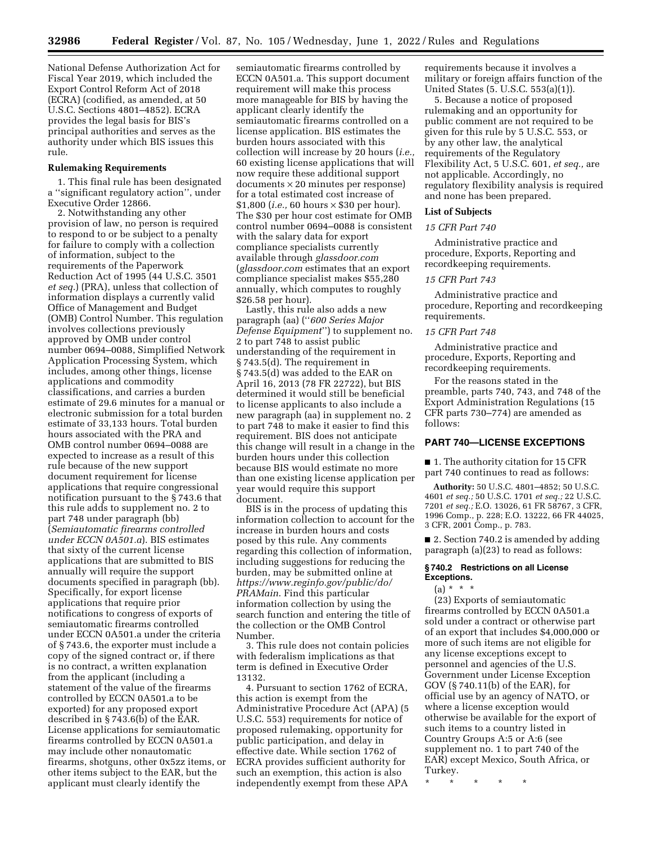National Defense Authorization Act for Fiscal Year 2019, which included the Export Control Reform Act of 2018 (ECRA) (codified, as amended, at 50 U.S.C. Sections 4801–4852). ECRA provides the legal basis for BIS's principal authorities and serves as the authority under which BIS issues this rule.

### **Rulemaking Requirements**

1. This final rule has been designated a ''significant regulatory action'', under Executive Order 12866.

2. Notwithstanding any other provision of law, no person is required to respond to or be subject to a penalty for failure to comply with a collection of information, subject to the requirements of the Paperwork Reduction Act of 1995 (44 U.S.C. 3501 *et seq.*) (PRA), unless that collection of information displays a currently valid Office of Management and Budget (OMB) Control Number. This regulation involves collections previously approved by OMB under control number 0694–0088, Simplified Network Application Processing System, which includes, among other things, license applications and commodity classifications, and carries a burden estimate of 29.6 minutes for a manual or electronic submission for a total burden estimate of 33,133 hours. Total burden hours associated with the PRA and OMB control number 0694–0088 are expected to increase as a result of this rule because of the new support document requirement for license applications that require congressional notification pursuant to the § 743.6 that this rule adds to supplement no. 2 to part 748 under paragraph (bb) (*Semiautomatic firearms controlled under ECCN 0A501.a*). BIS estimates that sixty of the current license applications that are submitted to BIS annually will require the support documents specified in paragraph (bb). Specifically, for export license applications that require prior notifications to congress of exports of semiautomatic firearms controlled under ECCN 0A501.a under the criteria of § 743.6, the exporter must include a copy of the signed contract or, if there is no contract, a written explanation from the applicant (including a statement of the value of the firearms controlled by ECCN 0A501.a to be exported) for any proposed export described in § 743.6(b) of the EAR. License applications for semiautomatic firearms controlled by ECCN 0A501.a may include other nonautomatic firearms, shotguns, other 0x5zz items, or other items subject to the EAR, but the applicant must clearly identify the

semiautomatic firearms controlled by ECCN 0A501.a. This support document requirement will make this process more manageable for BIS by having the applicant clearly identify the semiautomatic firearms controlled on a license application. BIS estimates the burden hours associated with this collection will increase by 20 hours (*i.e.,*  60 existing license applications that will now require these additional support documents × 20 minutes per response) for a total estimated cost increase of \$1,800 (*i.e.,* 60 hours × \$30 per hour). The \$30 per hour cost estimate for OMB control number 0694–0088 is consistent with the salary data for export compliance specialists currently available through *glassdoor.com*  (*glassdoor.com* estimates that an export compliance specialist makes \$55,280 annually, which computes to roughly \$26.58 per hour).

Lastly, this rule also adds a new paragraph (aa) (''*600 Series Major Defense Equipment*'') to supplement no. 2 to part 748 to assist public understanding of the requirement in § 743.5(d). The requirement in § 743.5(d) was added to the EAR on April 16, 2013 (78 FR 22722), but BIS determined it would still be beneficial to license applicants to also include a new paragraph (aa) in supplement no. 2 to part 748 to make it easier to find this requirement. BIS does not anticipate this change will result in a change in the burden hours under this collection because BIS would estimate no more than one existing license application per year would require this support document.

BIS is in the process of updating this information collection to account for the increase in burden hours and costs posed by this rule. Any comments regarding this collection of information, including suggestions for reducing the burden, may be submitted online at *[https://www.reginfo.gov/public/do/](https://www.reginfo.gov/public/do/PRAMain) [PRAMain](https://www.reginfo.gov/public/do/PRAMain)*. Find this particular information collection by using the search function and entering the title of the collection or the OMB Control Number.

3. This rule does not contain policies with federalism implications as that term is defined in Executive Order 13132.

4. Pursuant to section 1762 of ECRA, this action is exempt from the Administrative Procedure Act (APA) (5 U.S.C. 553) requirements for notice of proposed rulemaking, opportunity for public participation, and delay in effective date. While section 1762 of ECRA provides sufficient authority for such an exemption, this action is also independently exempt from these APA

requirements because it involves a military or foreign affairs function of the United States (5. U.S.C. 553(a)(1)).

5. Because a notice of proposed rulemaking and an opportunity for public comment are not required to be given for this rule by 5 U.S.C. 553, or by any other law, the analytical requirements of the Regulatory Flexibility Act, 5 U.S.C. 601, *et seq.,* are not applicable. Accordingly, no regulatory flexibility analysis is required and none has been prepared.

### **List of Subjects**

### *15 CFR Part 740*

Administrative practice and procedure, Exports, Reporting and recordkeeping requirements.

## *15 CFR Part 743*

Administrative practice and procedure, Reporting and recordkeeping requirements.

### *15 CFR Part 748*

Administrative practice and procedure, Exports, Reporting and recordkeeping requirements.

For the reasons stated in the preamble, parts 740, 743, and 748 of the Export Administration Regulations (15 CFR parts 730–774) are amended as follows:

### **PART 740—LICENSE EXCEPTIONS**

■ 1. The authority citation for 15 CFR part 740 continues to read as follows:

**Authority:** 50 U.S.C. 4801–4852; 50 U.S.C. 4601 *et seq.;* 50 U.S.C. 1701 *et seq.;* 22 U.S.C. 7201 *et seq.;* E.O. 13026, 61 FR 58767, 3 CFR, 1996 Comp., p. 228; E.O. 13222, 66 FR 44025, 3 CFR, 2001 Comp., p. 783.

■ 2. Section 740.2 is amended by adding paragraph (a)(23) to read as follows:

### **§ 740.2 Restrictions on all License Exceptions.**

 $(a) * * * *$ 

(23) Exports of semiautomatic firearms controlled by ECCN 0A501.a sold under a contract or otherwise part of an export that includes \$4,000,000 or more of such items are not eligible for any license exceptions except to personnel and agencies of the U.S. Government under License Exception GOV (§ 740.11(b) of the EAR), for official use by an agency of NATO, or where a license exception would otherwise be available for the export of such items to a country listed in Country Groups A:5 or A:6 (see supplement no. 1 to part 740 of the EAR) except Mexico, South Africa, or Turkey.

\* \* \* \* \*